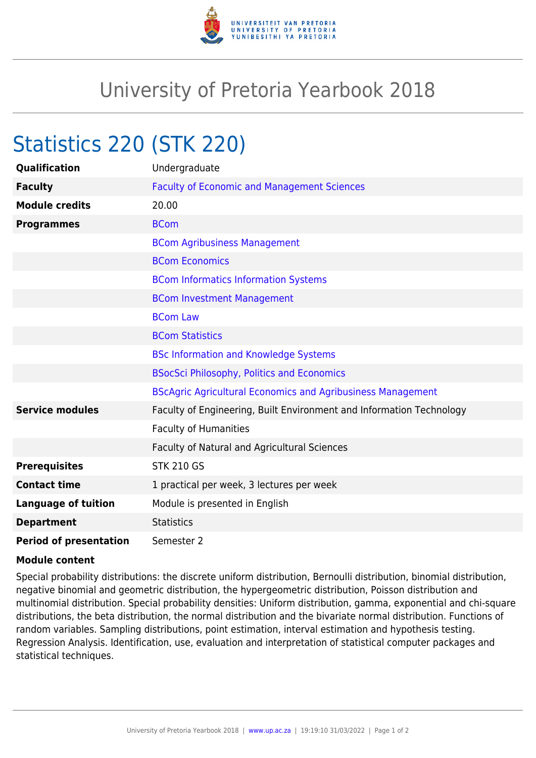

## University of Pretoria Yearbook 2018

## Statistics 220 (STK 220)

| <b>Qualification</b>          | Undergraduate                                                        |
|-------------------------------|----------------------------------------------------------------------|
| <b>Faculty</b>                | <b>Faculty of Economic and Management Sciences</b>                   |
| <b>Module credits</b>         | 20.00                                                                |
| <b>Programmes</b>             | <b>BCom</b>                                                          |
|                               | <b>BCom Agribusiness Management</b>                                  |
|                               | <b>BCom Economics</b>                                                |
|                               | <b>BCom Informatics Information Systems</b>                          |
|                               | <b>BCom Investment Management</b>                                    |
|                               | <b>BCom Law</b>                                                      |
|                               | <b>BCom Statistics</b>                                               |
|                               | <b>BSc Information and Knowledge Systems</b>                         |
|                               | <b>BSocSci Philosophy, Politics and Economics</b>                    |
|                               | <b>BScAgric Agricultural Economics and Agribusiness Management</b>   |
| <b>Service modules</b>        | Faculty of Engineering, Built Environment and Information Technology |
|                               | <b>Faculty of Humanities</b>                                         |
|                               | <b>Faculty of Natural and Agricultural Sciences</b>                  |
| <b>Prerequisites</b>          | <b>STK 210 GS</b>                                                    |
| <b>Contact time</b>           | 1 practical per week, 3 lectures per week                            |
| <b>Language of tuition</b>    | Module is presented in English                                       |
| <b>Department</b>             | <b>Statistics</b>                                                    |
| <b>Period of presentation</b> | Semester 2                                                           |

## **Module content**

Special probability distributions: the discrete uniform distribution, Bernoulli distribution, binomial distribution, negative binomial and geometric distribution, the hypergeometric distribution, Poisson distribution and multinomial distribution. Special probability densities: Uniform distribution, gamma, exponential and chi-square distributions, the beta distribution, the normal distribution and the bivariate normal distribution. Functions of random variables. Sampling distributions, point estimation, interval estimation and hypothesis testing. Regression Analysis. Identification, use, evaluation and interpretation of statistical computer packages and statistical techniques.